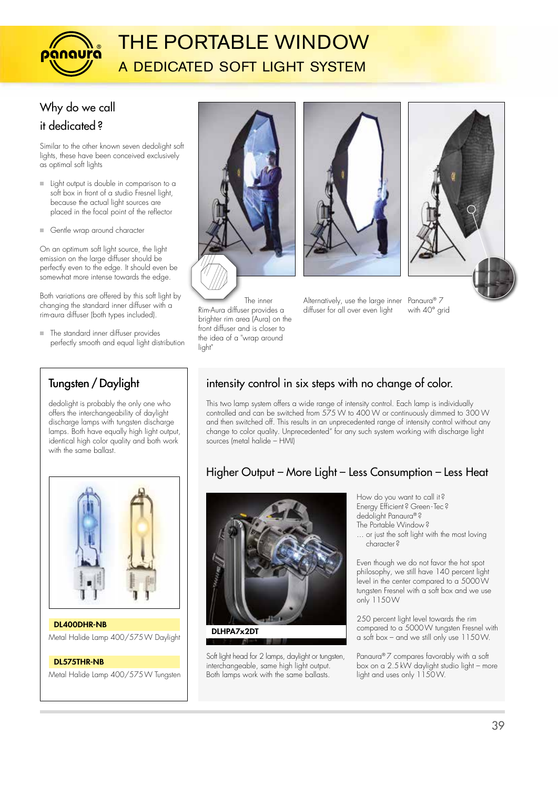

# THE PORTABLE WINDOW a dedicated soft light system

# Why do we call

### it dedicated ?

Similar to the other known seven dedolight soft lights, these have been conceived exclusively as optimal soft lights

- **Light output is double in comparison to a** soft box in front of a studio Fresnel light, because the actual light sources are placed in the focal point of the reflector
- Gentle wrap around character

On an optimum soft light source, the light emission on the large diffuser should be perfectly even to the edge. It should even be somewhat more intense towards the edge.

Both variations are offered by this soft light by changing the standard inner diffuser with a rim-aura diffuser (both types included).

 $\blacksquare$  The standard inner diffuser provides perfectly smooth and equal light distribution

### Tungsten / Daylight

dedolight is probably the only one who offers the interchangeability of daylight discharge lamps with tungsten discharge lamps. Both have equally high light output, identical high color quality and both work with the same ballast.



Metal Halide Lamp 400/575W Daylight DL400DHR-NB

#### DL575THR-NB

Metal Halide Lamp 400/575W Tungsten



 The inner Rim-Aura diffuser provides a brighter rim area (Aura) on the front diffuser and is closer to the idea of a "wrap around light



Alternatively, use the large inner Panaura® 7 diffuser for all over even light

with 40° grid

### intensity control in six steps with no change of color.

This two lamp system offers a wide range of intensity control. Each lamp is individually controlled and can be switched from 575 W to 400 W or continuously dimmed to 300 W and then switched off. This results in an unprecedented range of intensity control without any change to color quality. Unprecedented" for any such system working with discharge light sources (metal halide – HMI)

### Higher Output – More Light – Less Consumption – Less Heat



Soft light head for 2 lamps, daylight or tungsten, interchangeable, same high light output. Both lamps work with the same ballasts.

How do you want to call it ? Energy Efficient ? Green - Tec ? dedolight Panaura® ? The Portable Window ?

... or just the soft light with the most loving character ?

Even though we do not favor the hot spot philosophy, we still have 140 percent light level in the center compared to a 5000W tungsten Fresnel with a soft box and we use only 1150W

250 percent light level towards the rim compared to a 5000W tungsten Fresnel with a soft box – and we still only use 1150W.

Panaura® 7 compares favorably with a soft box on a 2.5 kW daylight studio light – more light and uses only 1150W.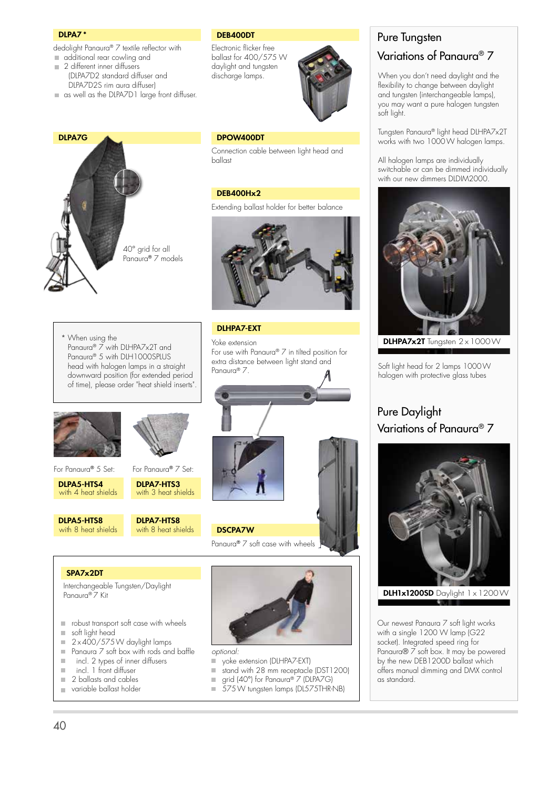#### DLPA7 \*

DLPA7G

dedolight Panaura® 7 textile reflector with additional rear cowling and

- 2 different inner diffusers
- (DLPA7D2 standard diffuser and DLPA7D2S rim aura diffuser)
- as well as the DLPA7D1 large front diffuser.

#### DEB400DT

Electronic flicker free ballast for 400/575 W daylight and tungsten discharge lamps.



#### DPOW400DT

Connection cable between light head and ballast

#### DEB400Hx2

Panaura® 7.

DLHPA7-EXT

Extending ballast holder for better balance



For use with Panaura® 7 in tilted position for extra distance between light stand and

When using the Panaura® 7 with DLHPA7x2T and Panaura® 5 with DLH1000SPLUS head with halogen lamps in a straight downward position (for extended period of time), please order "heat shield inserts".



40° grid for all Panaura® 7 models

For Panaura® 5 Set:

DLPA5-HTS4 with 4 heat shields

DLPA5-HTS8 with 8 heat shields

DLPA7-HTS3 with 3 heat shields For Panaura® 7 Set:

#### DLPA7-HTS8 with 8 heat shields



#### SPA7x2DT

 Interchangeable Tungsten/Daylight Panaura® 7 Kit

- **reduced** robust transport soft case with wheels
- soft light head
- $\sqrt{2 \times 400}$ /575W daylight lamps
- $\blacksquare$  Panaura  $\mathbb Z$  soft box with rods and baffle
- $\blacksquare$  incl. 2 types of inner diffusers
- incl. 1 front diffuser
- 2 ballasts and cables
- variable ballast holder



*optional:*

- yoke extension (DLHPA7-EXT)<br>■ stand with 28 mm receptacle
- stand with 28 mm receptacle (DST1200)
- grid (40°) for Panaura® 7 (DLPA7G) Ű.
- 575W tungsten lamps (DL575THR-NB)

## Pure Tungsten

### Variations of Panaura® 7

When you don't need daylight and the flexibility to change between daylight and tungsten (interchangeable lamps), you may want a pure halogen tungsten soft light.

Tungsten Panaura® light head DLHPA7x2T works with two 1000W halogen lamps.

All halogen lamps are individually switchable or can be dimmed individually with our new dimmers DLDIM2000.



Yoke extension  $\blacksquare$  **DLHPA7x2T** Tungsten 2 x 1000 W

Soft light head for 2 lamps 1000W halogen with protective glass tubes

### Pure Daylight Variations of Panaura® 7



**DLH1x1200SD** Daylight  $1 \times 1200$  W

Our newest Panaura 7 soft light works with a single 1200 W lamp (G22 socket). Integrated speed ring for Panaura® 7 soft box. It may be powered by the new DEB1200D ballast which offers manual dimming and DMX control as standard.